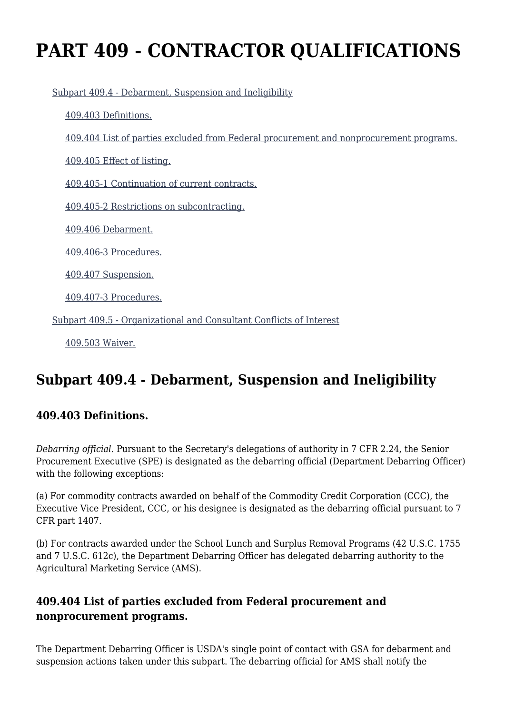# **PART 409 - CONTRACTOR QUALIFICATIONS**

[Subpart 409.4 - Debarment, Suspension and Ineligibility](https://origin-www.acquisition.gov/%5Brp:link:agar-part-409%5D#Subpart_409_4_T48_40212101)

[409.403 Definitions.](https://origin-www.acquisition.gov/%5Brp:link:agar-part-409%5D#Section_409_403_T48_4021210111)

[409.404 List of parties excluded from Federal procurement and nonprocurement programs.](https://origin-www.acquisition.gov/%5Brp:link:agar-part-409%5D#Section_409_404_T48_4021210112)

[409.405 Effect of listing.](https://origin-www.acquisition.gov/%5Brp:link:agar-part-409%5D#Section_409_405_T48_4021210113)

[409.405-1 Continuation of current contracts.](https://origin-www.acquisition.gov/%5Brp:link:agar-part-409%5D#Section_409_405_1_T48_4021210114)

[409.405-2 Restrictions on subcontracting.](https://origin-www.acquisition.gov/%5Brp:link:agar-part-409%5D#Section_409_405_2_T48_4021210115)

[409.406 Debarment.](https://origin-www.acquisition.gov/%5Brp:link:agar-part-409%5D#Section_409_406_T48_4021210116)

[409.406-3 Procedures.](https://origin-www.acquisition.gov/%5Brp:link:agar-part-409%5D#Section_409_406_3_T48_4021210117)

[409.407 Suspension.](https://origin-www.acquisition.gov/%5Brp:link:agar-part-409%5D#Section_409_407_T48_4021210118)

[409.407-3 Procedures.](https://origin-www.acquisition.gov/%5Brp:link:agar-part-409%5D#Section_409_407_3_T48_4021210119)

[Subpart 409.5 - Organizational and Consultant Conflicts of Interest](https://origin-www.acquisition.gov/%5Brp:link:agar-part-409%5D#Subpart_409_5_T48_40212102)

[409.503 Waiver.](https://origin-www.acquisition.gov/%5Brp:link:agar-part-409%5D#Section_409_503_T48_4021210211)

# **Subpart 409.4 - Debarment, Suspension and Ineligibility**

#### **409.403 Definitions.**

*Debarring official.* Pursuant to the Secretary's delegations of authority in 7 CFR 2.24, the Senior Procurement Executive (SPE) is designated as the debarring official (Department Debarring Officer) with the following exceptions:

(a) For commodity contracts awarded on behalf of the Commodity Credit Corporation (CCC), the Executive Vice President, CCC, or his designee is designated as the debarring official pursuant to 7 CFR part 1407.

(b) For contracts awarded under the School Lunch and Surplus Removal Programs (42 U.S.C. 1755 and 7 U.S.C. 612c), the Department Debarring Officer has delegated debarring authority to the Agricultural Marketing Service (AMS).

# **409.404 List of parties excluded from Federal procurement and nonprocurement programs.**

The Department Debarring Officer is USDA's single point of contact with GSA for debarment and suspension actions taken under this subpart. The debarring official for AMS shall notify the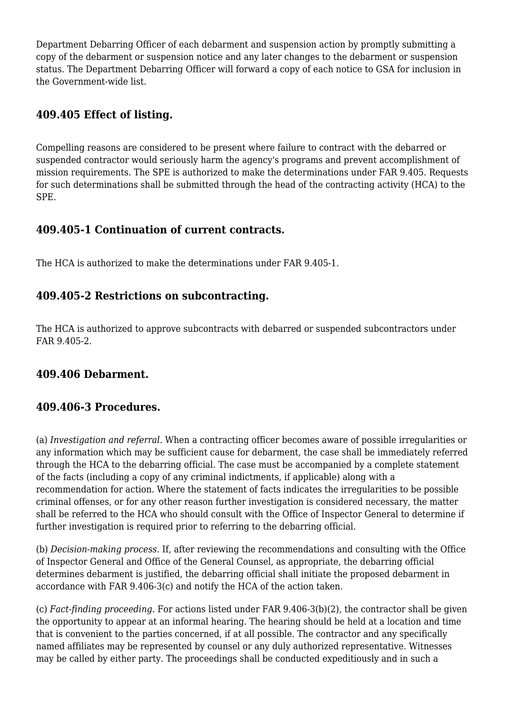Department Debarring Officer of each debarment and suspension action by promptly submitting a copy of the debarment or suspension notice and any later changes to the debarment or suspension status. The Department Debarring Officer will forward a copy of each notice to GSA for inclusion in the Government-wide list.

# **409.405 Effect of listing.**

Compelling reasons are considered to be present where failure to contract with the debarred or suspended contractor would seriously harm the agency's programs and prevent accomplishment of mission requirements. The SPE is authorized to make the determinations under FAR 9.405. Requests for such determinations shall be submitted through the head of the contracting activity (HCA) to the SPE.

#### **409.405-1 Continuation of current contracts.**

The HCA is authorized to make the determinations under FAR 9.405-1.

# **409.405-2 Restrictions on subcontracting.**

The HCA is authorized to approve subcontracts with debarred or suspended subcontractors under FAR 9.405-2.

#### **409.406 Debarment.**

#### **409.406-3 Procedures.**

(a) *Investigation and referral.* When a contracting officer becomes aware of possible irregularities or any information which may be sufficient cause for debarment, the case shall be immediately referred through the HCA to the debarring official. The case must be accompanied by a complete statement of the facts (including a copy of any criminal indictments, if applicable) along with a recommendation for action. Where the statement of facts indicates the irregularities to be possible criminal offenses, or for any other reason further investigation is considered necessary, the matter shall be referred to the HCA who should consult with the Office of Inspector General to determine if further investigation is required prior to referring to the debarring official.

(b) *Decision-making process.* If, after reviewing the recommendations and consulting with the Office of Inspector General and Office of the General Counsel, as appropriate, the debarring official determines debarment is justified, the debarring official shall initiate the proposed debarment in accordance with FAR 9.406-3(c) and notify the HCA of the action taken.

(c) *Fact-finding proceeding.* For actions listed under FAR 9.406-3(b)(2), the contractor shall be given the opportunity to appear at an informal hearing. The hearing should be held at a location and time that is convenient to the parties concerned, if at all possible. The contractor and any specifically named affiliates may be represented by counsel or any duly authorized representative. Witnesses may be called by either party. The proceedings shall be conducted expeditiously and in such a